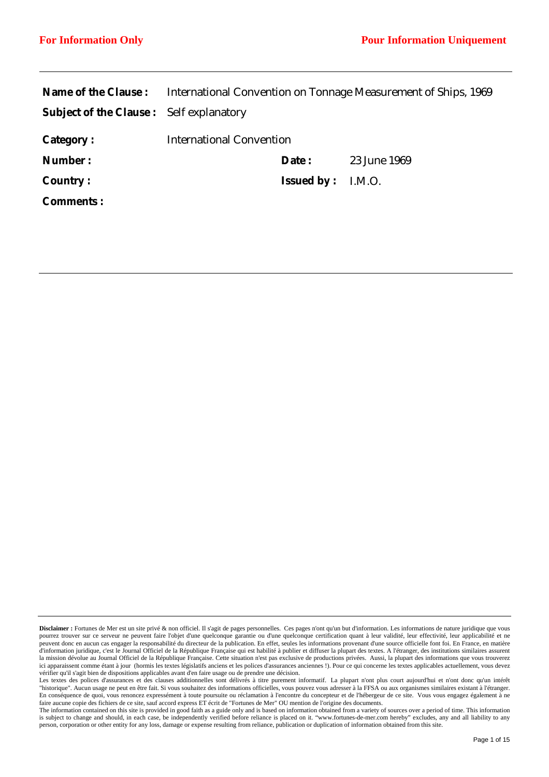| <b>Name of the Clause:</b>                     | International Convention on Tonnage Measurement of Ships, 1969 |                            |              |  |  |  |
|------------------------------------------------|----------------------------------------------------------------|----------------------------|--------------|--|--|--|
| <b>Subject of the Clause:</b> Self explanatory |                                                                |                            |              |  |  |  |
| <b>Category:</b>                               | <b>International Convention</b>                                |                            |              |  |  |  |
| Number:                                        |                                                                | Date :                     | 23 June 1969 |  |  |  |
| <b>Country:</b>                                |                                                                | <b>Issued by:</b> $I.M.O.$ |              |  |  |  |
| <b>Comments:</b>                               |                                                                |                            |              |  |  |  |

**Disclaimer :** Fortunes de Mer est un site privé & non officiel. Il s'agit de pages personnelles. Ces pages n'ont qu'un but d'information. Les informations de nature juridique que vous pourrez trouver sur ce serveur ne peuvent faire l'objet d'une quelconque garantie ou d'une quelconque certification quant à leur validité, leur effectivité, leur applicabilité et ne peuvent donc en aucun cas engager la responsabilité du directeur de la publication. En effet, seules les informations provenant d'une source officielle font foi. En France, en matière d'information juridique, c'est le Journal Officiel de la République Française qui est habilité à publier et diffuser la plupart des textes. A l'étranger, des institutions similaires assurent d'information juridique, c'est la mission dévolue au Journal Officiel de la République Française. Cette situation n'est pas exclusive de productions privées. Aussi, la plupart des informations que vous trouverez ici apparaissent comme étant à jour (hormis les textes législatifs anciens et les polices d'assurances anciennes !). Pour ce qui concerne les textes applicables actuellement, vous devez vérifier qu'il s'agit bien de dispositions applicables avant d'en faire usage ou de prendre une décision.

Les textes des polices d'assurances et des clauses additionnelles sont délivrés à titre purement informatif. La plupart n'ont plus court aujourd'hui et n'ont donc qu'un intérêt "historique". Aucun usage ne peut en être fait. Si vous souhaitez des informations officielles, vous pouvez vous adresser à la FFSA ou aux organismes similaires existant à l'étranger. En conséquence de quoi, vous renoncez expressément à toute poursuite ou réclamation à l'encontre du concepteur et de l'hébergeur de ce site. Vous vous engagez également à ne faire aucune copie des fichiers de ce site, sauf accord express ET écrit de "Fortunes de Mer" OU mention de l'origine des documents.

The information contained on this site is provided in good faith as a guide only and is based on information obtained from a variety of sources over a period of time. This information is subject to change and should, in each case, be independently verified before reliance is placed on it. "www.fortunes-de-mer.com hereby" excludes, any and all liability to any person, corporation or other entity for any loss, damage or expense resulting from reliance, publication or duplication of information obtained from this site.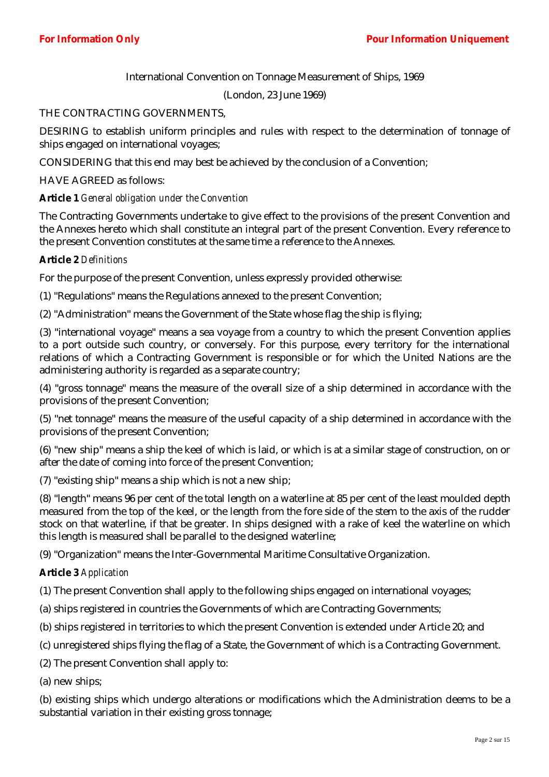## International Convention on Tonnage Measurement of Ships, 1969

## (London, 23 June 1969)

## THE CONTRACTING GOVERNMENTS,

DESIRING to establish uniform principles and rules with respect to the determination of tonnage of ships engaged on international voyages;

CONSIDERING that this end may best be achieved by the conclusion of a Convention;

HAVE AGREED as follows:

## **Article 1** *General obligation under the Convention*

The Contracting Governments undertake to give effect to the provisions of the present Convention and the Annexes hereto which shall constitute an integral part of the present Convention. Every reference to the present Convention constitutes at the same time a reference to the Annexes.

## **Article 2** *Definitions*

For the purpose of the present Convention, unless expressly provided otherwise:

(1) "Regulations" means the Regulations annexed to the present Convention;

(2) "Administration" means the Government of the State whose flag the ship is flying;

(3) "international voyage" means a sea voyage from a country to which the present Convention applies to a port outside such country, or conversely. For this purpose, every territory for the international relations of which a Contracting Government is responsible or for which the United Nations are the administering authority is regarded as a separate country;

(4) "gross tonnage" means the measure of the overall size of a ship determined in accordance with the provisions of the present Convention;

(5) "net tonnage" means the measure of the useful capacity of a ship determined in accordance with the provisions of the present Convention;

(6) "new ship" means a ship the keel of which is laid, or which is at a similar stage of construction, on or after the date of coming into force of the present Convention;

(7) "existing ship" means a ship which is not a new ship;

(8) "length" means 96 per cent of the total length on a waterline at 85 per cent of the least moulded depth measured from the top of the keel, or the length from the fore side of the stem to the axis of the rudder stock on that waterline, if that be greater. In ships designed with a rake of keel the waterline on which this length is measured shall be parallel to the designed waterline;

(9) "Organization" means the Inter-Governmental Maritime Consultative Organization.

## **Article 3** *Application*

(1) The present Convention shall apply to the following ships engaged on international voyages;

- (a) ships registered in countries the Governments of which are Contracting Governments;
- (b) ships registered in territories to which the present Convention is extended under Article 20; and
- (c) unregistered ships flying the flag of a State, the Government of which is a Contracting Government.
- (2) The present Convention shall apply to:

(a) new ships;

(b) existing ships which undergo alterations or modifications which the Administration deems to be a substantial variation in their existing gross tonnage;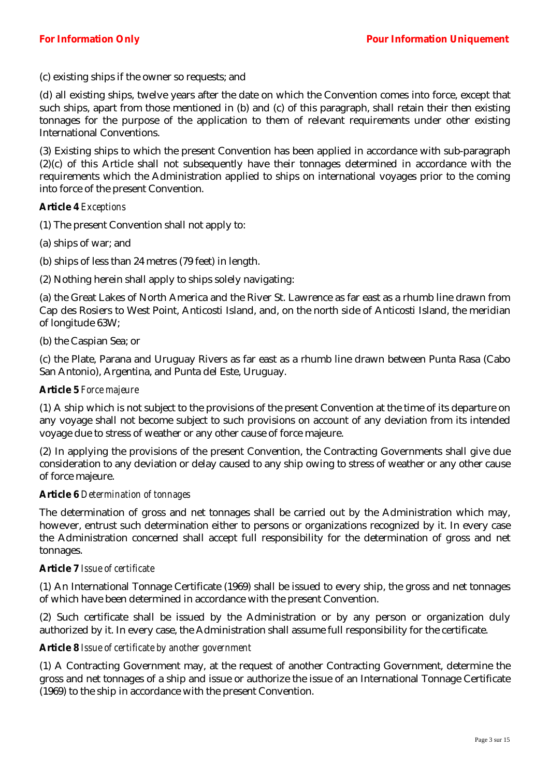(c) existing ships if the owner so requests; and

(d) all existing ships, twelve years after the date on which the Convention comes into force, except that such ships, apart from those mentioned in (b) and (c) of this paragraph, shall retain their then existing tonnages for the purpose of the application to them of relevant requirements under other existing International Conventions.

(3) Existing ships to which the present Convention has been applied in accordance with sub-paragraph (2)(c) of this Article shall not subsequently have their tonnages determined in accordance with the requirements which the Administration applied to ships on international voyages prior to the coming into force of the present Convention.

#### **Article 4** *Exceptions*

(1) The present Convention shall not apply to:

- (a) ships of war; and
- (b) ships of less than 24 metres (79 feet) in length.

(2) Nothing herein shall apply to ships solely navigating:

(a) the Great Lakes of North America and the River St. Lawrence as far east as a rhumb line drawn from Cap des Rosiers to West Point, Anticosti Island, and, on the north side of Anticosti Island, the meridian of longitude 63W;

(b) the Caspian Sea; or

(c) the Plate, Parana and Uruguay Rivers as far east as a rhumb line drawn between Punta Rasa (Cabo San Antonio), Argentina, and Punta del Este, Uruguay.

#### **Article 5** *Force majeure*

(1) A ship which is not subject to the provisions of the present Convention at the time of its departure on any voyage shall not become subject to such provisions on account of any deviation from its intended voyage due to stress of weather or any other cause of force majeure.

(2) In applying the provisions of the present Convention, the Contracting Governments shall give due consideration to any deviation or delay caused to any ship owing to stress of weather or any other cause of force majeure.

#### **Article 6** *Determination of tonnages*

The determination of gross and net tonnages shall be carried out by the Administration which may, however, entrust such determination either to persons or organizations recognized by it. In every case the Administration concerned shall accept full responsibility for the determination of gross and net tonnages.

#### **Article 7** *Issue of certificate*

(1) An International Tonnage Certificate (1969) shall be issued to every ship, the gross and net tonnages of which have been determined in accordance with the present Convention.

(2) Such certificate shall be issued by the Administration or by any person or organization duly authorized by it. In every case, the Administration shall assume full responsibility for the certificate.

#### **Article 8** *Issue of certificate by another government*

(1) A Contracting Government may, at the request of another Contracting Government, determine the gross and net tonnages of a ship and issue or authorize the issue of an International Tonnage Certificate (1969) to the ship in accordance with the present Convention.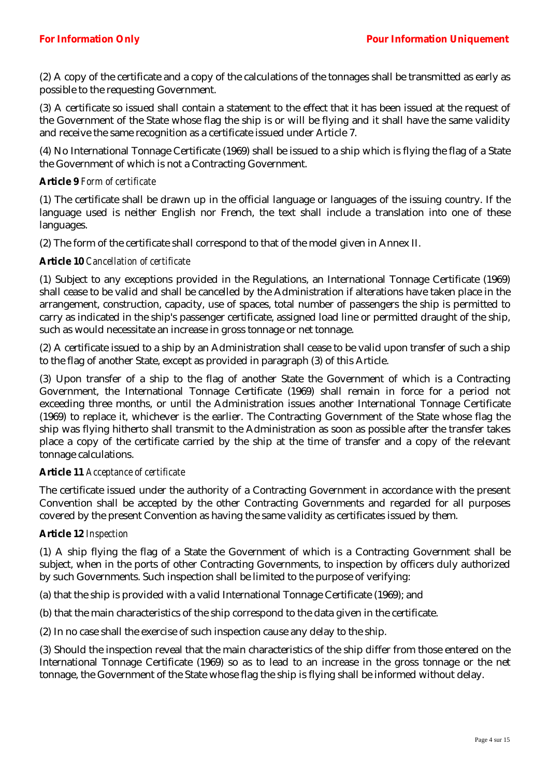(2) A copy of the certificate and a copy of the calculations of the tonnages shall be transmitted as early as possible to the requesting Government.

(3) A certificate so issued shall contain a statement to the effect that it has been issued at the request of the Government of the State whose flag the ship is or will be flying and it shall have the same validity and receive the same recognition as a certificate issued under Article 7.

(4) No International Tonnage Certificate (1969) shall be issued to a ship which is flying the flag of a State the Government of which is not a Contracting Government.

## **Article 9** *Form of certificate*

(1) The certificate shall be drawn up in the official language or languages of the issuing country. If the language used is neither English nor French, the text shall include a translation into one of these languages.

(2) The form of the certificate shall correspond to that of the model given in Annex II.

## **Article 10** *Cancellation of certificate*

(1) Subject to any exceptions provided in the Regulations, an International Tonnage Certificate (1969) shall cease to be valid and shall be cancelled by the Administration if alterations have taken place in the arrangement, construction, capacity, use of spaces, total number of passengers the ship is permitted to carry as indicated in the ship's passenger certificate, assigned load line or permitted draught of the ship, such as would necessitate an increase in gross tonnage or net tonnage.

(2) A certificate issued to a ship by an Administration shall cease to be valid upon transfer of such a ship to the flag of another State, except as provided in paragraph (3) of this Article.

(3) Upon transfer of a ship to the flag of another State the Government of which is a Contracting Government, the International Tonnage Certificate (1969) shall remain in force for a period not exceeding three months, or until the Administration issues another International Tonnage Certificate (1969) to replace it, whichever is the earlier. The Contracting Government of the State whose flag the ship was flying hitherto shall transmit to the Administration as soon as possible after the transfer takes place a copy of the certificate carried by the ship at the time of transfer and a copy of the relevant tonnage calculations.

## **Article 11** *Acceptance of certificate*

The certificate issued under the authority of a Contracting Government in accordance with the present Convention shall be accepted by the other Contracting Governments and regarded for all purposes covered by the present Convention as having the same validity as certificates issued by them.

#### **Article 12** *Inspection*

(1) A ship flying the flag of a State the Government of which is a Contracting Government shall be subject, when in the ports of other Contracting Governments, to inspection by officers duly authorized by such Governments. Such inspection shall be limited to the purpose of verifying:

(a) that the ship is provided with a valid International Tonnage Certificate (1969); and

(b) that the main characteristics of the ship correspond to the data given in the certificate.

(2) In no case shall the exercise of such inspection cause any delay to the ship.

(3) Should the inspection reveal that the main characteristics of the ship differ from those entered on the International Tonnage Certificate (1969) so as to lead to an increase in the gross tonnage or the net tonnage, the Government of the State whose flag the ship is flying shall be informed without delay.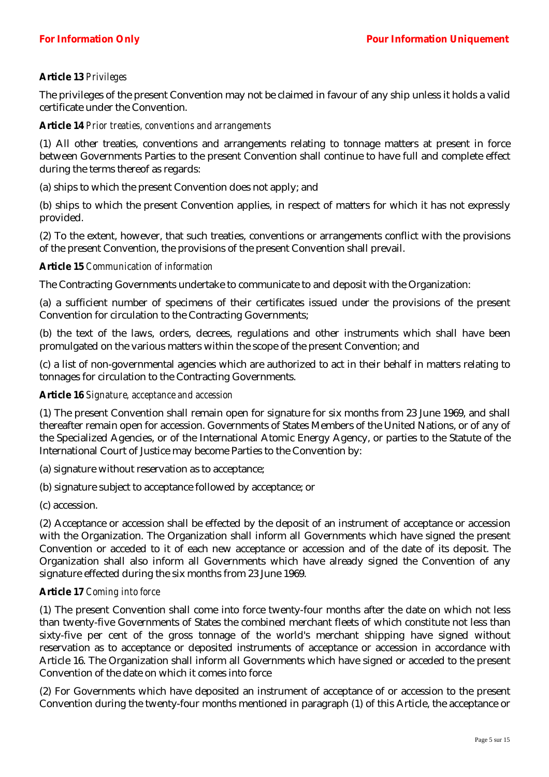## **Article 13** *Privileges*

The privileges of the present Convention may not be claimed in favour of any ship unless it holds a valid certificate under the Convention.

#### **Article 14** *Prior treaties, conventions and arrangements*

(1) All other treaties, conventions and arrangements relating to tonnage matters at present in force between Governments Parties to the present Convention shall continue to have full and complete effect during the terms thereof as regards:

(a) ships to which the present Convention does not apply; and

(b) ships to which the present Convention applies, in respect of matters for which it has not expressly provided.

(2) To the extent, however, that such treaties, conventions or arrangements conflict with the provisions of the present Convention, the provisions of the present Convention shall prevail.

#### **Article 15** *Communication of information*

The Contracting Governments undertake to communicate to and deposit with the Organization:

(a) a sufficient number of specimens of their certificates issued under the provisions of the present Convention for circulation to the Contracting Governments;

(b) the text of the laws, orders, decrees, regulations and other instruments which shall have been promulgated on the various matters within the scope of the present Convention; and

(c) a list of non-governmental agencies which are authorized to act in their behalf in matters relating to tonnages for circulation to the Contracting Governments.

#### **Article 16** *Signature, acceptance and accession*

(1) The present Convention shall remain open for signature for six months from 23 June 1969, and shall thereafter remain open for accession. Governments of States Members of the United Nations, or of any of the Specialized Agencies, or of the International Atomic Energy Agency, or parties to the Statute of the International Court of Justice may become Parties to the Convention by:

(a) signature without reservation as to acceptance;

- (b) signature subject to acceptance followed by acceptance; or
- (c) accession.

(2) Acceptance or accession shall be effected by the deposit of an instrument of acceptance or accession with the Organization. The Organization shall inform all Governments which have signed the present Convention or acceded to it of each new acceptance or accession and of the date of its deposit. The Organization shall also inform all Governments which have already signed the Convention of any signature effected during the six months from 23 June 1969.

#### **Article 17** *Coming into force*

(1) The present Convention shall come into force twenty-four months after the date on which not less than twenty-five Governments of States the combined merchant fleets of which constitute not less than sixty-five per cent of the gross tonnage of the world's merchant shipping have signed without reservation as to acceptance or deposited instruments of acceptance or accession in accordance with Article 16. The Organization shall inform all Governments which have signed or acceded to the present Convention of the date on which it comes into force

(2) For Governments which have deposited an instrument of acceptance of or accession to the present Convention during the twenty-four months mentioned in paragraph (1) of this Article, the acceptance or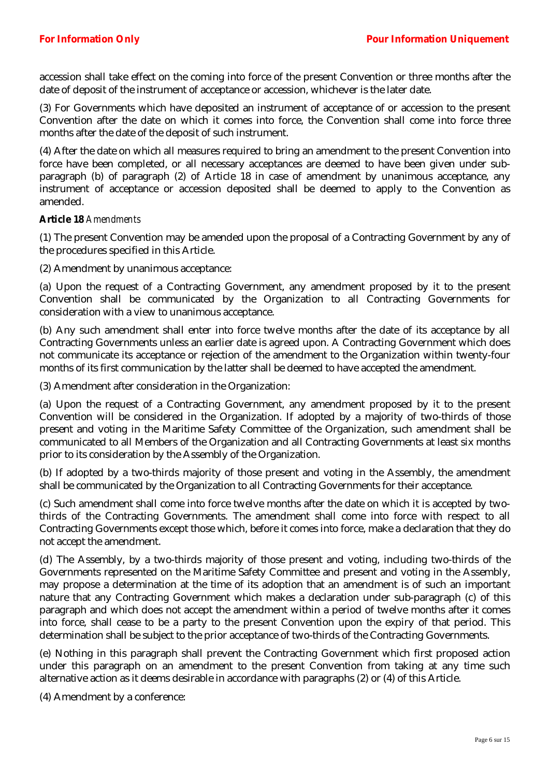accession shall take effect on the coming into force of the present Convention or three months after the date of deposit of the instrument of acceptance or accession, whichever is the later date.

(3) For Governments which have deposited an instrument of acceptance of or accession to the present Convention after the date on which it comes into force, the Convention shall come into force three months after the date of the deposit of such instrument.

(4) After the date on which all measures required to bring an amendment to the present Convention into force have been completed, or all necessary acceptances are deemed to have been given under subparagraph (b) of paragraph (2) of Article 18 in case of amendment by unanimous acceptance, any instrument of acceptance or accession deposited shall be deemed to apply to the Convention as amended.

#### **Article 18** *Amendments*

(1) The present Convention may be amended upon the proposal of a Contracting Government by any of the procedures specified in this Article.

(2) Amendment by unanimous acceptance:

(a) Upon the request of a Contracting Government, any amendment proposed by it to the present Convention shall be communicated by the Organization to all Contracting Governments for consideration with a view to unanimous acceptance.

(b) Any such amendment shall enter into force twelve months after the date of its acceptance by all Contracting Governments unless an earlier date is agreed upon. A Contracting Government which does not communicate its acceptance or rejection of the amendment to the Organization within twenty-four months of its first communication by the latter shall be deemed to have accepted the amendment.

(3) Amendment after consideration in the Organization:

(a) Upon the request of a Contracting Government, any amendment proposed by it to the present Convention will be considered in the Organization. If adopted by a majority of two-thirds of those present and voting in the Maritime Safety Committee of the Organization, such amendment shall be communicated to all Members of the Organization and all Contracting Governments at least six months prior to its consideration by the Assembly of the Organization.

(b) If adopted by a two-thirds majority of those present and voting in the Assembly, the amendment shall be communicated by the Organization to all Contracting Governments for their acceptance.

(c) Such amendment shall come into force twelve months after the date on which it is accepted by twothirds of the Contracting Governments. The amendment shall come into force with respect to all Contracting Governments except those which, before it comes into force, make a declaration that they do not accept the amendment.

(d) The Assembly, by a two-thirds majority of those present and voting, including two-thirds of the Governments represented on the Maritime Safety Committee and present and voting in the Assembly, may propose a determination at the time of its adoption that an amendment is of such an important nature that any Contracting Government which makes a declaration under sub-paragraph (c) of this paragraph and which does not accept the amendment within a period of twelve months after it comes into force, shall cease to be a party to the present Convention upon the expiry of that period. This determination shall be subject to the prior acceptance of two-thirds of the Contracting Governments.

(e) Nothing in this paragraph shall prevent the Contracting Government which first proposed action under this paragraph on an amendment to the present Convention from taking at any time such alternative action as it deems desirable in accordance with paragraphs (2) or (4) of this Article.

(4) Amendment by a conference: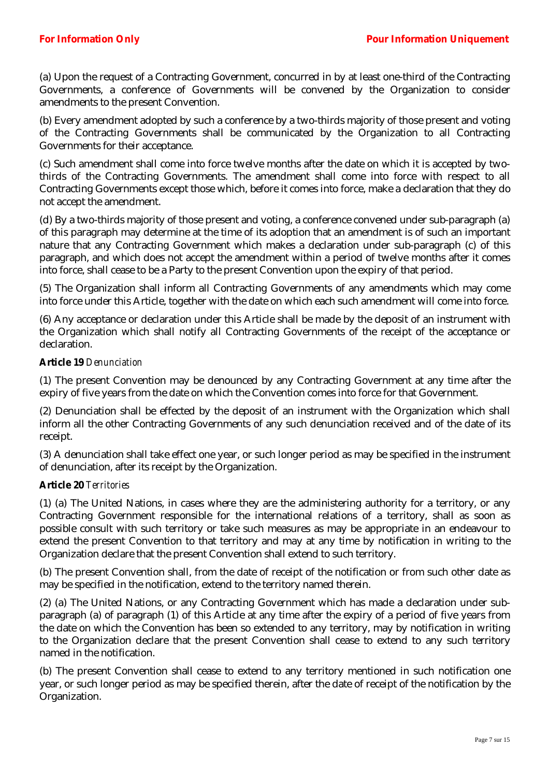(a) Upon the request of a Contracting Government, concurred in by at least one-third of the Contracting Governments, a conference of Governments will be convened by the Organization to consider amendments to the present Convention.

(b) Every amendment adopted by such a conference by a two-thirds majority of those present and voting of the Contracting Governments shall be communicated by the Organization to all Contracting Governments for their acceptance.

(c) Such amendment shall come into force twelve months after the date on which it is accepted by twothirds of the Contracting Governments. The amendment shall come into force with respect to all Contracting Governments except those which, before it comes into force, make a declaration that they do not accept the amendment.

(d) By a two-thirds majority of those present and voting, a conference convened under sub-paragraph (a) of this paragraph may determine at the time of its adoption that an amendment is of such an important nature that any Contracting Government which makes a declaration under sub-paragraph (c) of this paragraph, and which does not accept the amendment within a period of twelve months after it comes into force, shall cease to be a Party to the present Convention upon the expiry of that period.

(5) The Organization shall inform all Contracting Governments of any amendments which may come into force under this Article, together with the date on which each such amendment will come into force.

(6) Any acceptance or declaration under this Article shall be made by the deposit of an instrument with the Organization which shall notify all Contracting Governments of the receipt of the acceptance or declaration.

#### **Article 19** *Denunciation*

(1) The present Convention may be denounced by any Contracting Government at any time after the expiry of five years from the date on which the Convention comes into force for that Government.

(2) Denunciation shall be effected by the deposit of an instrument with the Organization which shall inform all the other Contracting Governments of any such denunciation received and of the date of its receipt.

(3) A denunciation shall take effect one year, or such longer period as may be specified in the instrument of denunciation, after its receipt by the Organization.

#### **Article 20** *Territories*

(1) (a) The United Nations, in cases where they are the administering authority for a territory, or any Contracting Government responsible for the international relations of a territory, shall as soon as possible consult with such territory or take such measures as may be appropriate in an endeavour to extend the present Convention to that territory and may at any time by notification in writing to the Organization declare that the present Convention shall extend to such territory.

(b) The present Convention shall, from the date of receipt of the notification or from such other date as may be specified in the notification, extend to the territory named therein.

(2) (a) The United Nations, or any Contracting Government which has made a declaration under subparagraph (a) of paragraph (1) of this Article at any time after the expiry of a period of five years from the date on which the Convention has been so extended to any territory, may by notification in writing to the Organization declare that the present Convention shall cease to extend to any such territory named in the notification.

(b) The present Convention shall cease to extend to any territory mentioned in such notification one year, or such longer period as may be specified therein, after the date of receipt of the notification by the Organization.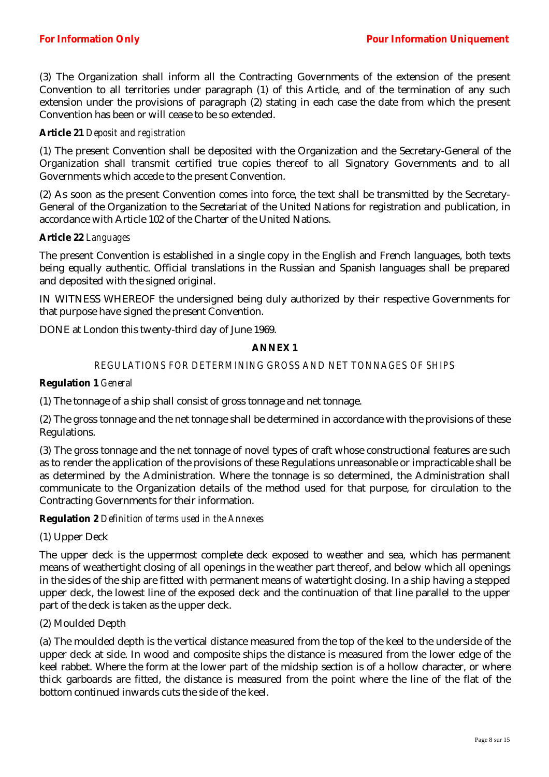(3) The Organization shall inform all the Contracting Governments of the extension of the present Convention to all territories under paragraph (1) of this Article, and of the termination of any such extension under the provisions of paragraph (2) stating in each case the date from which the present Convention has been or will cease to be so extended.

## **Article 21** *Deposit and registration*

(1) The present Convention shall be deposited with the Organization and the Secretary-General of the Organization shall transmit certified true copies thereof to all Signatory Governments and to all Governments which accede to the present Convention.

(2) As soon as the present Convention comes into force, the text shall be transmitted by the Secretary-General of the Organization to the Secretariat of the United Nations for registration and publication, in accordance with Article 102 of the Charter of the United Nations.

## **Article 22** *Languages*

The present Convention is established in a single copy in the English and French languages, both texts being equally authentic. Official translations in the Russian and Spanish languages shall be prepared and deposited with the signed original.

IN WITNESS WHEREOF the undersigned being duly authorized by their respective Governments for that purpose have signed the present Convention.

DONE at London this twenty-third day of June 1969.

#### **ANNEX 1**

## *REGULATIONS FOR DETERMINING GROSS AND NET TONNAGES OF SHIPS*

#### **Regulation 1** *General*

(1) The tonnage of a ship shall consist of gross tonnage and net tonnage.

(2) The gross tonnage and the net tonnage shall be determined in accordance with the provisions of these Regulations.

(3) The gross tonnage and the net tonnage of novel types of craft whose constructional features are such as to render the application of the provisions of these Regulations unreasonable or impracticable shall be as determined by the Administration. Where the tonnage is so determined, the Administration shall communicate to the Organization details of the method used for that purpose, for circulation to the Contracting Governments for their information.

**Regulation 2** *Definition of terms used in the Annexes*

(1) Upper Deck

The upper deck is the uppermost complete deck exposed to weather and sea, which has permanent means of weathertight closing of all openings in the weather part thereof, and below which all openings in the sides of the ship are fitted with permanent means of watertight closing. In a ship having a stepped upper deck, the lowest line of the exposed deck and the continuation of that line parallel to the upper part of the deck is taken as the upper deck.

#### (2) Moulded Depth

(a) The moulded depth is the vertical distance measured from the top of the keel to the underside of the upper deck at side. In wood and composite ships the distance is measured from the lower edge of the keel rabbet. Where the form at the lower part of the midship section is of a hollow character, or where thick garboards are fitted, the distance is measured from the point where the line of the flat of the bottom continued inwards cuts the side of the keel.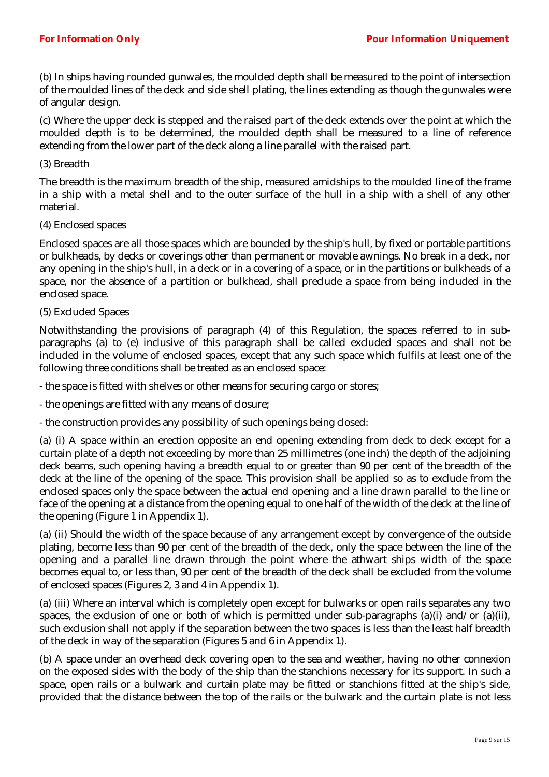(b) In ships having rounded gunwales, the moulded depth shall be measured to the point of intersection of the moulded lines of the deck and side shell plating, the lines extending as though the gunwales were of angular design.

(c) Where the upper deck is stepped and the raised part of the deck extends over the point at which the moulded depth is to be determined, the moulded depth shall be measured to a line of reference extending from the lower part of the deck along a line parallel with the raised part.

#### (3) Breadth

The breadth is the maximum breadth of the ship, measured amidships to the moulded line of the frame in a ship with a metal shell and to the outer surface of the hull in a ship with a shell of any other material.

#### (4) Enclosed spaces

Enclosed spaces are all those spaces which are bounded by the ship's hull, by fixed or portable partitions or bulkheads, by decks or coverings other than permanent or movable awnings. No break in a deck, nor any opening in the ship's hull, in a deck or in a covering of a space, or in the partitions or bulkheads of a space, nor the absence of a partition or bulkhead, shall preclude a space from being included in the enclosed space.

## (5) Excluded Spaces

Notwithstanding the provisions of paragraph (4) of this Regulation, the spaces referred to in subparagraphs (a) to (e) inclusive of this paragraph shall be called excluded spaces and shall not be included in the volume of enclosed spaces, except that any such space which fulfils at least one of the following three conditions shall be treated as an enclosed space:

- the space is fitted with shelves or other means for securing cargo or stores;

- the openings are fitted with any means of closure;

- the construction provides any possibility of such openings being closed:

(a) (i) A space within an erection opposite an end opening extending from deck to deck except for a curtain plate of a depth not exceeding by more than 25 millimetres (one inch) the depth of the adjoining deck beams, such opening having a breadth equal to or greater than 90 per cent of the breadth of the deck at the line of the opening of the space. This provision shall be applied so as to exclude from the enclosed spaces only the space between the actual end opening and a line drawn parallel to the line or face of the opening at a distance from the opening equal to one half of the width of the deck at the line of the opening (Figure 1 in Appendix 1).

(a) (ii) Should the width of the space because of any arrangement except by convergence of the outside plating, become less than 90 per cent of the breadth of the deck, only the space between the line of the opening and a parallel line drawn through the point where the athwart ships width of the space becomes equal to, or less than, 90 per cent of the breadth of the deck shall be excluded from the volume of enclosed spaces (Figures 2, 3 and 4 in Appendix 1).

(a) (iii) Where an interval which is completely open except for bulwarks or open rails separates any two spaces, the exclusion of one or both of which is permitted under sub-paragraphs (a)(i) and/or (a)(ii), such exclusion shall not apply if the separation between the two spaces is less than the least half breadth of the deck in way of the separation (Figures 5 and 6 in Appendix 1).

(b) A space under an overhead deck covering open to the sea and weather, having no other connexion on the exposed sides with the body of the ship than the stanchions necessary for its support. In such a space, open rails or a bulwark and curtain plate may be fitted or stanchions fitted at the ship's side, provided that the distance between the top of the rails or the bulwark and the curtain plate is not less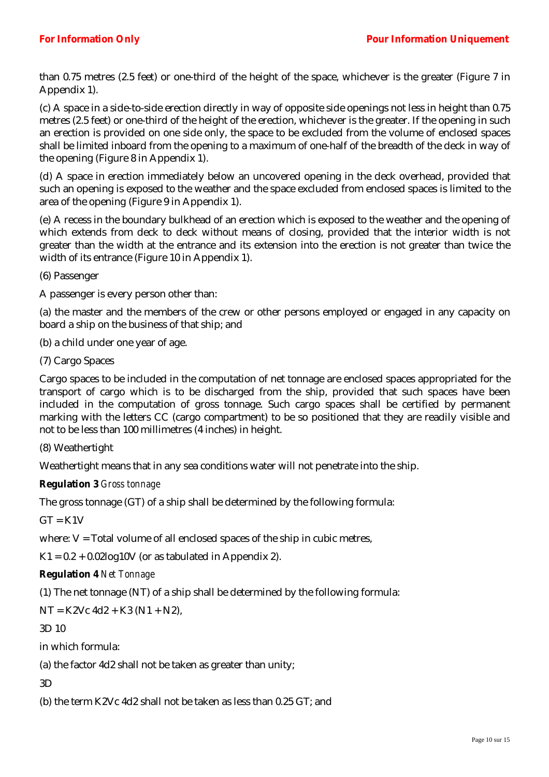than 0.75 metres (2.5 feet) or one-third of the height of the space, whichever is the greater (Figure 7 in Appendix 1).

(c) A space in a side-to-side erection directly in way of opposite side openings not less in height than 0.75 metres (2.5 feet) or one-third of the height of the erection, whichever is the greater. If the opening in such an erection is provided on one side only, the space to be excluded from the volume of enclosed spaces shall be limited inboard from the opening to a maximum of one-half of the breadth of the deck in way of the opening (Figure 8 in Appendix 1).

(d) A space in erection immediately below an uncovered opening in the deck overhead, provided that such an opening is exposed to the weather and the space excluded from enclosed spaces is limited to the area of the opening (Figure 9 in Appendix 1).

(e) A recess in the boundary bulkhead of an erection which is exposed to the weather and the opening of which extends from deck to deck without means of closing, provided that the interior width is not greater than the width at the entrance and its extension into the erection is not greater than twice the width of its entrance (Figure 10 in Appendix 1).

(6) Passenger

A passenger is every person other than:

(a) the master and the members of the crew or other persons employed or engaged in any capacity on board a ship on the business of that ship; and

(b) a child under one year of age.

(7) Cargo Spaces

Cargo spaces to be included in the computation of net tonnage are enclosed spaces appropriated for the transport of cargo which is to be discharged from the ship, provided that such spaces have been included in the computation of gross tonnage. Such cargo spaces shall be certified by permanent marking with the letters CC (cargo compartment) to be so positioned that they are readily visible and not to be less than 100 millimetres (4 inches) in height.

(8) Weathertight

Weathertight means that in any sea conditions water will not penetrate into the ship.

**Regulation 3** *Gross tonnage*

The gross tonnage (GT) of a ship shall be determined by the following formula:

 $GT = K1V$ 

where:  $V = Total volume of all enclosed spaces of the ship in cubic metres,$ 

 $K1 = 0.2 + 0.02\log 10V$  (or as tabulated in Appendix 2).

**Regulation 4** *Net Tonnage*

(1) The net tonnage (NT) of a ship shall be determined by the following formula:

 $NT = K2Vc 4d2 + K3 (N1 + N2),$ 

3D 10

in which formula:

(a) the factor 4d2 shall not be taken as greater than unity;

3D

(b) the term K2Vc 4d2 shall not be taken as less than 0.25 GT; and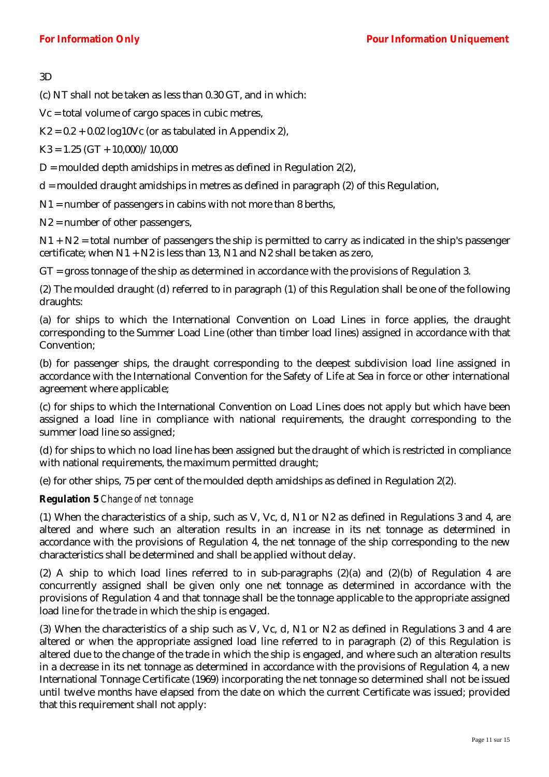#### 3D

(c) NT shall not be taken as less than 0.30 GT, and in which:

Vc = total volume of cargo spaces in cubic metres,

 $K2 = 0.2 + 0.02$  log10Vc (or as tabulated in Appendix 2),

 $K3 = 1.25$  (GT + 10,000)/10,000

 $D =$  moulded depth amidships in metres as defined in Regulation 2(2),

d = moulded draught amidships in metres as defined in paragraph (2) of this Regulation,

N1 = number of passengers in cabins with not more than 8 berths,

N2 = number of other passengers,

 $N1 + N2$  = total number of passengers the ship is permitted to carry as indicated in the ship's passenger certificate; when  $N1 + N2$  is less than 13, N1 and N2 shall be taken as zero,

GT = gross tonnage of the ship as determined in accordance with the provisions of Regulation 3.

(2) The moulded draught (d) referred to in paragraph (1) of this Regulation shall be one of the following draughts:

(a) for ships to which the International Convention on Load Lines in force applies, the draught corresponding to the Summer Load Line (other than timber load lines) assigned in accordance with that Convention;

(b) for passenger ships, the draught corresponding to the deepest subdivision load line assigned in accordance with the International Convention for the Safety of Life at Sea in force or other international agreement where applicable;

(c) for ships to which the International Convention on Load Lines does not apply but which have been assigned a load line in compliance with national requirements, the draught corresponding to the summer load line so assigned;

(d) for ships to which no load line has been assigned but the draught of which is restricted in compliance with national requirements, the maximum permitted draught;

(e) for other ships, 75 per cent of the moulded depth amidships as defined in Regulation 2(2).

## **Regulation 5** *Change of net tonnage*

(1) When the characteristics of a ship, such as V, Vc, d, N1 or N2 as defined in Regulations 3 and 4, are altered and where such an alteration results in an increase in its net tonnage as determined in accordance with the provisions of Regulation 4, the net tonnage of the ship corresponding to the new characteristics shall be determined and shall be applied without delay.

(2) A ship to which load lines referred to in sub-paragraphs (2)(a) and (2)(b) of Regulation 4 are concurrently assigned shall be given only one net tonnage as determined in accordance with the provisions of Regulation 4 and that tonnage shall be the tonnage applicable to the appropriate assigned load line for the trade in which the ship is engaged.

(3) When the characteristics of a ship such as V, Vc, d, N1 or N2 as defined in Regulations 3 and 4 are altered or when the appropriate assigned load line referred to in paragraph (2) of this Regulation is altered due to the change of the trade in which the ship is engaged, and where such an alteration results in a decrease in its net tonnage as determined in accordance with the provisions of Regulation 4, a new International Tonnage Certificate (1969) incorporating the net tonnage so determined shall not be issued until twelve months have elapsed from the date on which the current Certificate was issued; provided that this requirement shall not apply: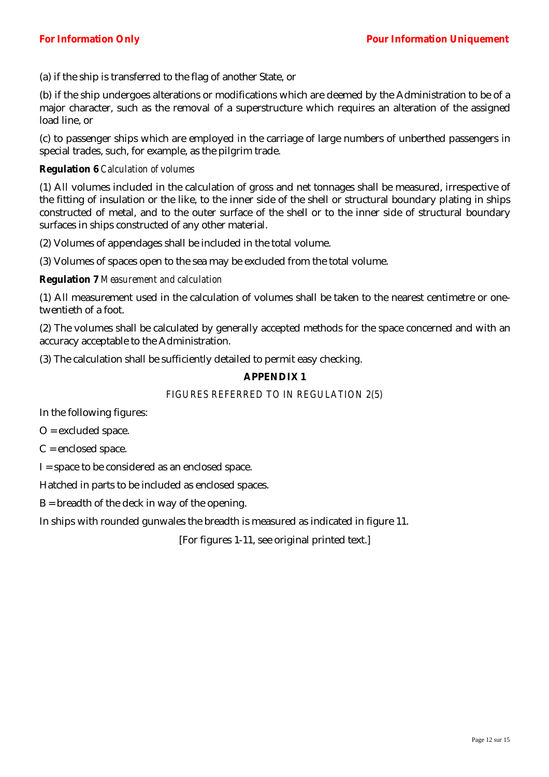(a) if the ship is transferred to the flag of another State, or

(b) if the ship undergoes alterations or modifications which are deemed by the Administration to be of a major character, such as the removal of a superstructure which requires an alteration of the assigned load line, or

(c) to passenger ships which are employed in the carriage of large numbers of unberthed passengers in special trades, such, for example, as the pilgrim trade.

## **Regulation 6** *Calculation of volumes*

(1) All volumes included in the calculation of gross and net tonnages shall be measured, irrespective of the fitting of insulation or the like, to the inner side of the shell or structural boundary plating in ships constructed of metal, and to the outer surface of the shell or to the inner side of structural boundary surfaces in ships constructed of any other material.

(2) Volumes of appendages shall be included in the total volume.

(3) Volumes of spaces open to the sea may be excluded from the total volume.

#### **Regulation 7** *Measurement and calculation*

(1) All measurement used in the calculation of volumes shall be taken to the nearest centimetre or onetwentieth of a foot.

(2) The volumes shall be calculated by generally accepted methods for the space concerned and with an accuracy acceptable to the Administration.

(3) The calculation shall be sufficiently detailed to permit easy checking.

## **APPENDIX 1**

## *FIGURES REFERRED TO IN REGULATION 2(5)*

In the following figures:

 $O =$  excluded space.

 $C =$  enclosed space.

 $I = space$  to be considered as an enclosed space.

Hatched in parts to be included as enclosed spaces.

 $B =$  breadth of the deck in way of the opening.

In ships with rounded gunwales the breadth is measured as indicated in figure 11.

[For figures 1-11, see original printed text.]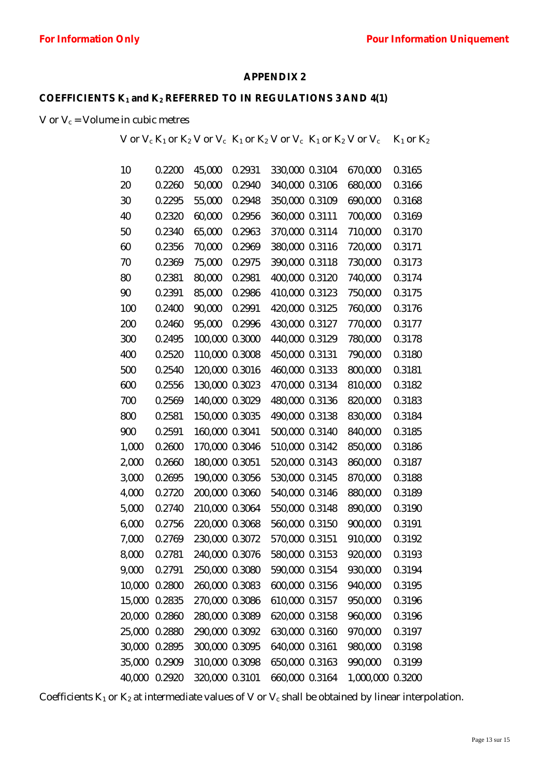## **APPENDIX 2**

# **COEFFICIENTS K1 and K2 REFERRED TO IN REGULATIONS 3 AND 4(1)**

#### $V$  or  $V_c$  = Volume in cubic metres

|        | V or $V_c$ K <sub>1</sub> or K <sub>2</sub> V or $V_c$ K <sub>1</sub> or K <sub>2</sub> V or $V_c$ K <sub>1</sub> or K <sub>2</sub> V or $V_c$ |                |        |                |           | $K_1$ or $K_2$ |
|--------|------------------------------------------------------------------------------------------------------------------------------------------------|----------------|--------|----------------|-----------|----------------|
| 10     | 0.2200                                                                                                                                         | 45,000         | 0.2931 | 330,000 0.3104 | 670,000   | 0.3165         |
| 20     | 0.2260                                                                                                                                         | 50,000         | 0.2940 | 340,000 0.3106 | 680,000   | 0.3166         |
| 30     | 0.2295                                                                                                                                         | 55,000         | 0.2948 | 350,000 0.3109 | 690,000   | 0.3168         |
| 40     | 0.2320                                                                                                                                         | 60,000         | 0.2956 | 360,000 0.3111 | 700,000   | 0.3169         |
| 50     | 0.2340                                                                                                                                         | 65,000         | 0.2963 | 370,000 0.3114 | 710,000   | 0.3170         |
| 60     | 0.2356                                                                                                                                         | 70,000         | 0.2969 | 380,000 0.3116 | 720,000   | 0.3171         |
| 70     | 0.2369                                                                                                                                         | 75,000         | 0.2975 | 390,000 0.3118 | 730,000   | 0.3173         |
| 80     | 0.2381                                                                                                                                         | 80,000         | 0.2981 | 400,000 0.3120 | 740,000   | 0.3174         |
| 90     | 0.2391                                                                                                                                         | 85,000         | 0.2986 | 410,000 0.3123 | 750,000   | 0.3175         |
| 100    | 0.2400                                                                                                                                         | 90,000         | 0.2991 | 420,000 0.3125 | 760,000   | 0.3176         |
| 200    | 0.2460                                                                                                                                         | 95,000         | 0.2996 | 430,000 0.3127 | 770,000   | 0.3177         |
| 300    | 0.2495                                                                                                                                         | 100,000        | 0.3000 | 440,000 0.3129 | 780,000   | 0.3178         |
| 400    | 0.2520                                                                                                                                         | 110,000 0.3008 |        | 450,000 0.3131 | 790,000   | 0.3180         |
| 500    | 0.2540                                                                                                                                         | 120,000 0.3016 |        | 460,000 0.3133 | 800,000   | 0.3181         |
| 600    | 0.2556                                                                                                                                         | 130,000 0.3023 |        | 470,000 0.3134 | 810,000   | 0.3182         |
| 700    | 0.2569                                                                                                                                         | 140,000 0.3029 |        | 480,000 0.3136 | 820,000   | 0.3183         |
| 800    | 0.2581                                                                                                                                         | 150,000 0.3035 |        | 490,000 0.3138 | 830,000   | 0.3184         |
| 900    | 0.2591                                                                                                                                         | 160,000 0.3041 |        | 500,000 0.3140 | 840,000   | 0.3185         |
| 1,000  | 0.2600                                                                                                                                         | 170,000 0.3046 |        | 510,000 0.3142 | 850,000   | 0.3186         |
| 2,000  | 0.2660                                                                                                                                         | 180,000 0.3051 |        | 520,000 0.3143 | 860,000   | 0.3187         |
| 3,000  | 0.2695                                                                                                                                         | 190,000 0.3056 |        | 530,000 0.3145 | 870,000   | 0.3188         |
| 4,000  | 0.2720                                                                                                                                         | 200,000 0.3060 |        | 540,000 0.3146 | 880,000   | 0.3189         |
| 5,000  | 0.2740                                                                                                                                         | 210,000 0.3064 |        | 550,000 0.3148 | 890,000   | 0.3190         |
| 6,000  | 0.2756                                                                                                                                         | 220,000 0.3068 |        | 560,000 0.3150 | 900,000   | 0.3191         |
| 7,000  | 0.2769                                                                                                                                         | 230,000 0.3072 |        | 570,000 0.3151 | 910,000   | 0.3192         |
| 8,000  | 0.2781                                                                                                                                         | 240,000 0.3076 |        | 580,000 0.3153 | 920,000   | 0.3193         |
| 9,000  | 0.2791                                                                                                                                         | 250,000 0.3080 |        | 590,000 0.3154 | 930,000   | 0.3194         |
| 10,000 | 0.2800                                                                                                                                         | 260,000 0.3083 |        | 600,000 0.3156 | 940,000   | 0.3195         |
| 15,000 | 0.2835                                                                                                                                         | 270,000 0.3086 |        | 610,000 0.3157 | 950,000   | 0.3196         |
| 20,000 | 0.2860                                                                                                                                         | 280,000 0.3089 |        | 620,000 0.3158 | 960,000   | 0.3196         |
| 25,000 | 0.2880                                                                                                                                         | 290,000 0.3092 |        | 630,000 0.3160 | 970,000   | 0.3197         |
| 30,000 | 0.2895                                                                                                                                         | 300,000 0.3095 |        | 640,000 0.3161 | 980,000   | 0.3198         |
| 35,000 | 0.2909                                                                                                                                         | 310,000 0.3098 |        | 650,000 0.3163 | 990,000   | 0.3199         |
| 40,000 | 0.2920                                                                                                                                         | 320,000 0.3101 |        | 660,000 0.3164 | 1,000,000 | 0.3200         |
|        |                                                                                                                                                |                |        |                |           |                |

Coefficients  $K_1$  or  $K_2$  at intermediate values of V or  $V_c$  shall be obtained by linear interpolation.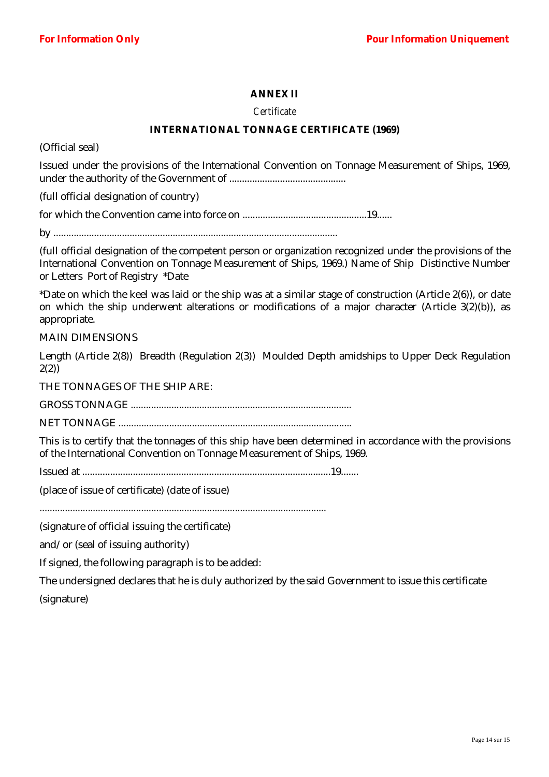# **ANNEX II**

#### *Certificate*

# **INTERNATIONAL TONNAGE CERTIFICATE (1969)**

(Official seal)

Issued under the provisions of the International Convention on Tonnage Measurement of Ships, 1969, under the authority of the Government of ..............................................

(full official designation of country)

for which the Convention came into force on .................................................19......

by ................................................................................................................

(full official designation of the competent person or organization recognized under the provisions of the International Convention on Tonnage Measurement of Ships, 1969.) Name of Ship Distinctive Number or Letters Port of Registry \*Date

\*Date on which the keel was laid or the ship was at a similar stage of construction (Article 2(6)), or date on which the ship underwent alterations or modifications of a major character (Article 3(2)(b)), as appropriate.

MAIN DIMENSIONS

Length (Article 2(8)) Breadth (Regulation 2(3)) Moulded Depth amidships to Upper Deck Regulation 2(2))

THE TONNAGES OF THE SHIP ARE:

GROSS TONNAGE .......................................................................................

NET TONNAGE ............................................................................................

This is to certify that the tonnages of this ship have been determined in accordance with the provisions of the International Convention on Tonnage Measurement of Ships, 1969.

Issued at ..................................................................................................19.......

(place of issue of certificate) (date of issue)

.................................................................................................................

(signature of official issuing the certificate)

and/or (seal of issuing authority)

If signed, the following paragraph is to be added:

The undersigned declares that he is duly authorized by the said Government to issue this certificate

(signature)